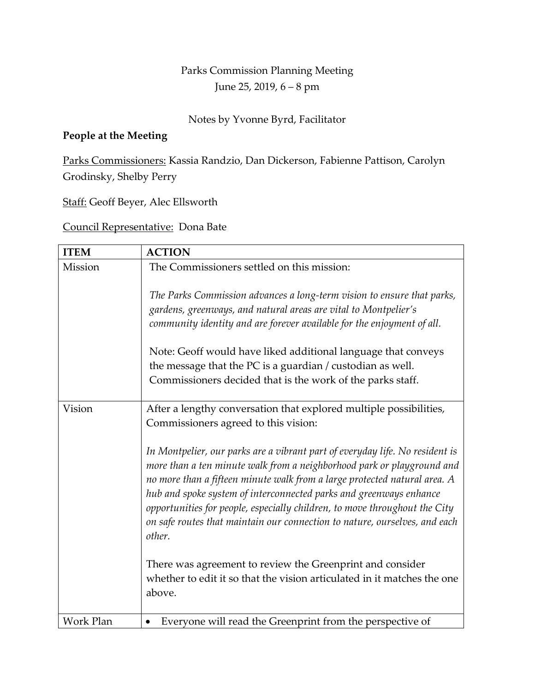## Parks Commission Planning Meeting June 25, 2019, 6 – 8 pm

## Notes by Yvonne Byrd, Facilitator

## **People at the Meeting**

Parks Commissioners: Kassia Randzio, Dan Dickerson, Fabienne Pattison, Carolyn Grodinsky, Shelby Perry

Staff: Geoff Beyer, Alec Ellsworth

Council Representative: Dona Bate

| <b>ITEM</b> | <b>ACTION</b>                                                                                                                                                                                                                                                                                                                                                                                                                                                                   |
|-------------|---------------------------------------------------------------------------------------------------------------------------------------------------------------------------------------------------------------------------------------------------------------------------------------------------------------------------------------------------------------------------------------------------------------------------------------------------------------------------------|
| Mission     | The Commissioners settled on this mission:                                                                                                                                                                                                                                                                                                                                                                                                                                      |
|             | The Parks Commission advances a long-term vision to ensure that parks,<br>gardens, greenways, and natural areas are vital to Montpelier's<br>community identity and are forever available for the enjoyment of all.                                                                                                                                                                                                                                                             |
|             | Note: Geoff would have liked additional language that conveys<br>the message that the PC is a guardian / custodian as well.<br>Commissioners decided that is the work of the parks staff.                                                                                                                                                                                                                                                                                       |
| Vision      | After a lengthy conversation that explored multiple possibilities,<br>Commissioners agreed to this vision:                                                                                                                                                                                                                                                                                                                                                                      |
|             | In Montpelier, our parks are a vibrant part of everyday life. No resident is<br>more than a ten minute walk from a neighborhood park or playground and<br>no more than a fifteen minute walk from a large protected natural area. A<br>hub and spoke system of interconnected parks and greenways enhance<br>opportunities for people, especially children, to move throughout the City<br>on safe routes that maintain our connection to nature, ourselves, and each<br>other. |
|             | There was agreement to review the Greenprint and consider<br>whether to edit it so that the vision articulated in it matches the one<br>above.                                                                                                                                                                                                                                                                                                                                  |
| Work Plan   | Everyone will read the Greenprint from the perspective of<br>$\bullet$                                                                                                                                                                                                                                                                                                                                                                                                          |